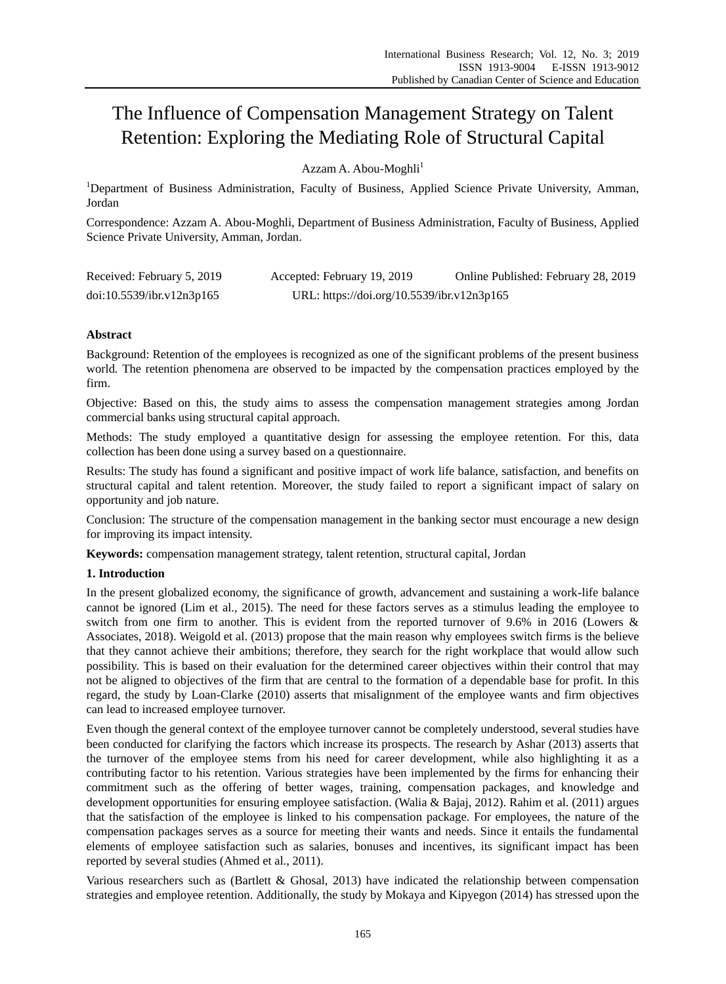# The Influence of Compensation Management Strategy on Talent Retention: Exploring the Mediating Role of Structural Capital

Azzam A. Abou-Moghli<sup>1</sup>

<sup>1</sup>Department of Business Administration, Faculty of Business, Applied Science Private University, Amman, Jordan

Correspondence: Azzam A. Abou-Moghli, Department of Business Administration, Faculty of Business, Applied Science Private University, Amman, Jordan.

| Received: February 5, 2019 | Accepted: February 19, 2019                | Online Published: February 28, 2019 |
|----------------------------|--------------------------------------------|-------------------------------------|
| doi:10.5539/ibr.v12n3p165  | URL: https://doi.org/10.5539/ibr.v12n3p165 |                                     |

# **Abstract**

Background: Retention of the employees is recognized as one of the significant problems of the present business world. The retention phenomena are observed to be impacted by the compensation practices employed by the firm.

Objective: Based on this, the study aims to assess the compensation management strategies among Jordan commercial banks using structural capital approach.

Methods: The study employed a quantitative design for assessing the employee retention. For this, data collection has been done using a survey based on a questionnaire.

Results: The study has found a significant and positive impact of work life balance, satisfaction, and benefits on structural capital and talent retention. Moreover, the study failed to report a significant impact of salary on opportunity and job nature.

Conclusion: The structure of the compensation management in the banking sector must encourage a new design for improving its impact intensity.

**Keywords:** compensation management strategy, talent retention, structural capital, Jordan

# **1. Introduction**

In the present globalized economy, the significance of growth, advancement and sustaining a work-life balance cannot be ignored (Lim et al., 2015). The need for these factors serves as a stimulus leading the employee to switch from one firm to another. This is evident from the reported turnover of 9.6% in 2016 (Lowers & Associates, 2018). Weigold et al. (2013) propose that the main reason why employees switch firms is the believe that they cannot achieve their ambitions; therefore, they search for the right workplace that would allow such possibility. This is based on their evaluation for the determined career objectives within their control that may not be aligned to objectives of the firm that are central to the formation of a dependable base for profit. In this regard, the study by Loan-Clarke (2010) asserts that misalignment of the employee wants and firm objectives can lead to increased employee turnover.

Even though the general context of the employee turnover cannot be completely understood, several studies have been conducted for clarifying the factors which increase its prospects. The research by Ashar (2013) asserts that the turnover of the employee stems from his need for career development, while also highlighting it as a contributing factor to his retention. Various strategies have been implemented by the firms for enhancing their commitment such as the offering of better wages, training, compensation packages, and knowledge and development opportunities for ensuring employee satisfaction. (Walia & Bajaj, 2012). Rahim et al. (2011) argues that the satisfaction of the employee is linked to his compensation package. For employees, the nature of the compensation packages serves as a source for meeting their wants and needs. Since it entails the fundamental elements of employee satisfaction such as salaries, bonuses and incentives, its significant impact has been reported by several studies (Ahmed et al., 2011).

Various researchers such as (Bartlett & Ghosal, 2013) have indicated the relationship between compensation strategies and employee retention. Additionally, the study by Mokaya and Kipyegon (2014) has stressed upon the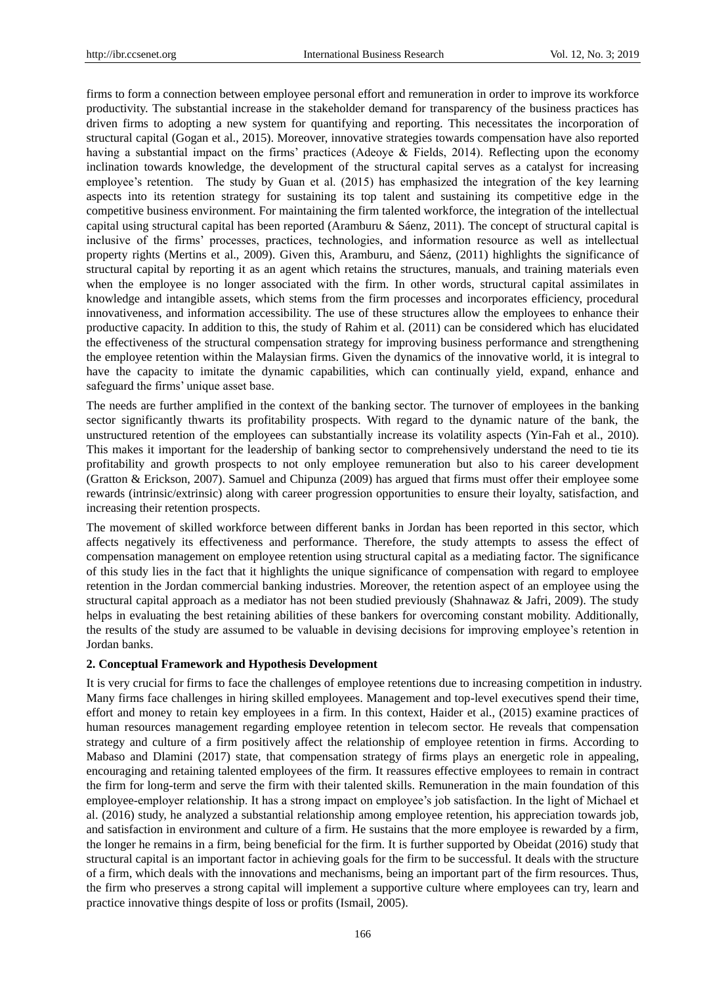firms to form a connection between employee personal effort and remuneration in order to improve its workforce productivity. The substantial increase in the stakeholder demand for transparency of the business practices has driven firms to adopting a new system for quantifying and reporting. This necessitates the incorporation of structural capital (Gogan et al., 2015). Moreover, innovative strategies towards compensation have also reported having a substantial impact on the firms' practices (Adeoye & Fields, 2014). Reflecting upon the economy inclination towards knowledge, the development of the structural capital serves as a catalyst for increasing employee's retention. The study by Guan et al. (2015) has emphasized the integration of the key learning aspects into its retention strategy for sustaining its top talent and sustaining its competitive edge in the competitive business environment. For maintaining the firm talented workforce, the integration of the intellectual capital using structural capital has been reported (Aramburu & S  $\hat{\alpha}$ nz, 2011). The concept of structural capital is inclusive of the firms' processes, practices, technologies, and information resource as well as intellectual property rights (Mertins et al., 2009). Given this, Aramburu, and Sáenz, (2011) highlights the significance of structural capital by reporting it as an agent which retains the structures, manuals, and training materials even when the employee is no longer associated with the firm. In other words, structural capital assimilates in knowledge and intangible assets, which stems from the firm processes and incorporates efficiency, procedural innovativeness, and information accessibility. The use of these structures allow the employees to enhance their productive capacity. In addition to this, the study of Rahim et al. (2011) can be considered which has elucidated the effectiveness of the structural compensation strategy for improving business performance and strengthening the employee retention within the Malaysian firms. Given the dynamics of the innovative world, it is integral to have the capacity to imitate the dynamic capabilities, which can continually yield, expand, enhance and safeguard the firms' unique asset base.

The needs are further amplified in the context of the banking sector. The turnover of employees in the banking sector significantly thwarts its profitability prospects. With regard to the dynamic nature of the bank, the unstructured retention of the employees can substantially increase its volatility aspects (Yin-Fah et al., 2010). This makes it important for the leadership of banking sector to comprehensively understand the need to tie its profitability and growth prospects to not only employee remuneration but also to his career development (Gratton & Erickson, 2007). Samuel and Chipunza (2009) has argued that firms must offer their employee some rewards (intrinsic/extrinsic) along with career progression opportunities to ensure their loyalty, satisfaction, and increasing their retention prospects.

The movement of skilled workforce between different banks in Jordan has been reported in this sector, which affects negatively its effectiveness and performance. Therefore, the study attempts to assess the effect of compensation management on employee retention using structural capital as a mediating factor. The significance of this study lies in the fact that it highlights the unique significance of compensation with regard to employee retention in the Jordan commercial banking industries. Moreover, the retention aspect of an employee using the structural capital approach as a mediator has not been studied previously (Shahnawaz & Jafri, 2009). The study helps in evaluating the best retaining abilities of these bankers for overcoming constant mobility. Additionally, the results of the study are assumed to be valuable in devising decisions for improving employee's retention in Jordan banks.

#### **2. Conceptual Framework and Hypothesis Development**

It is very crucial for firms to face the challenges of employee retentions due to increasing competition in industry. Many firms face challenges in hiring skilled employees. Management and top-level executives spend their time, effort and money to retain key employees in a firm. In this context, Haider et al., (2015) examine practices of human resources management regarding employee retention in telecom sector. He reveals that compensation strategy and culture of a firm positively affect the relationship of employee retention in firms. According to Mabaso and Dlamini (2017) state, that compensation strategy of firms plays an energetic role in appealing, encouraging and retaining talented employees of the firm. It reassures effective employees to remain in contract the firm for long-term and serve the firm with their talented skills. Remuneration in the main foundation of this employee-employer relationship. It has a strong impact on employee's job satisfaction. In the light of Michael et al. (2016) study, he analyzed a substantial relationship among employee retention, his appreciation towards job, and satisfaction in environment and culture of a firm. He sustains that the more employee is rewarded by a firm, the longer he remains in a firm, being beneficial for the firm. It is further supported by Obeidat (2016) study that structural capital is an important factor in achieving goals for the firm to be successful. It deals with the structure of a firm, which deals with the innovations and mechanisms, being an important part of the firm resources. Thus, the firm who preserves a strong capital will implement a supportive culture where employees can try, learn and practice innovative things despite of loss or profits (Ismail, 2005).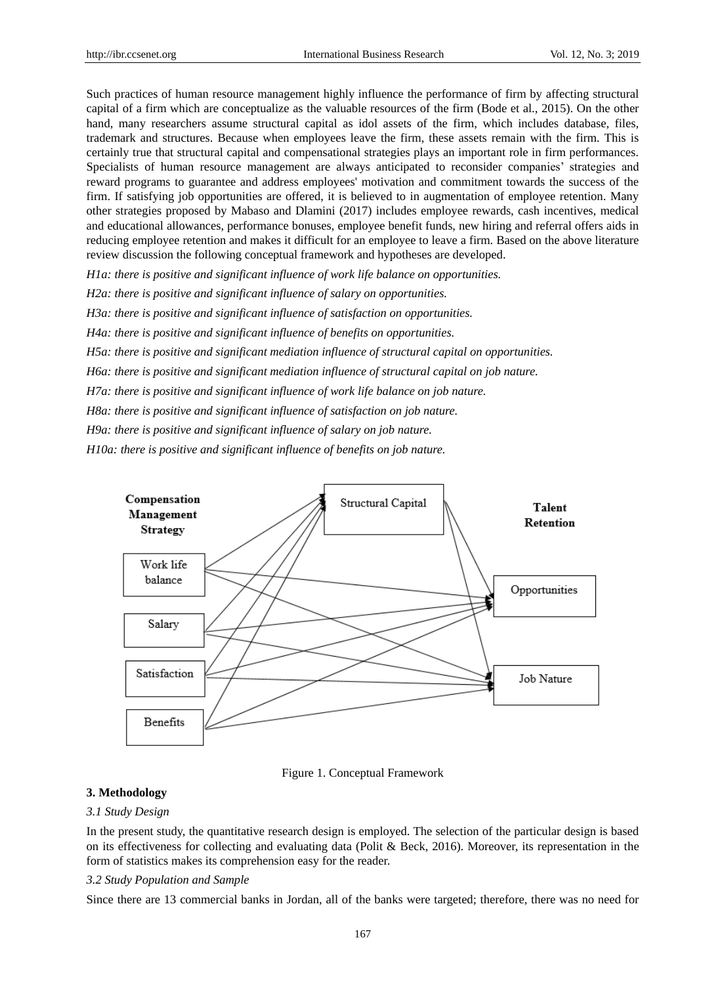Such practices of human resource management highly influence the performance of firm by affecting structural capital of a firm which are conceptualize as the valuable resources of the firm (Bode et al., 2015). On the other hand, many researchers assume structural capital as idol assets of the firm, which includes database, files, trademark and structures. Because when employees leave the firm, these assets remain with the firm. This is certainly true that structural capital and compensational strategies plays an important role in firm performances. Specialists of human resource management are always anticipated to reconsider companies' strategies and reward programs to guarantee and address employees' motivation and commitment towards the success of the firm. If satisfying job opportunities are offered, it is believed to in augmentation of employee retention. Many other strategies proposed by Mabaso and Dlamini (2017) includes employee rewards, cash incentives, medical and educational allowances, performance bonuses, employee benefit funds, new hiring and referral offers aids in reducing employee retention and makes it difficult for an employee to leave a firm. Based on the above literature review discussion the following conceptual framework and hypotheses are developed.

*H1a: there is positive and significant influence of work life balance on opportunities.*

*H2a: there is positive and significant influence of salary on opportunities.*

*H3a: there is positive and significant influence of satisfaction on opportunities.*

*H4a: there is positive and significant influence of benefits on opportunities.*

*H5a: there is positive and significant mediation influence of structural capital on opportunities.*

*H6a: there is positive and significant mediation influence of structural capital on job nature.*

*H7a: there is positive and significant influence of work life balance on job nature.*

*H8a: there is positive and significant influence of satisfaction on job nature.*

*H9a: there is positive and significant influence of salary on job nature.*

*H10a: there is positive and significant influence of benefits on job nature.*



Figure 1. Conceptual Framework

# **3. Methodology**

## *3.1 Study Design*

In the present study, the quantitative research design is employed. The selection of the particular design is based on its effectiveness for collecting and evaluating data (Polit & Beck, 2016). Moreover, its representation in the form of statistics makes its comprehension easy for the reader.

### *3.2 Study Population and Sample*

Since there are 13 commercial banks in Jordan, all of the banks were targeted; therefore, there was no need for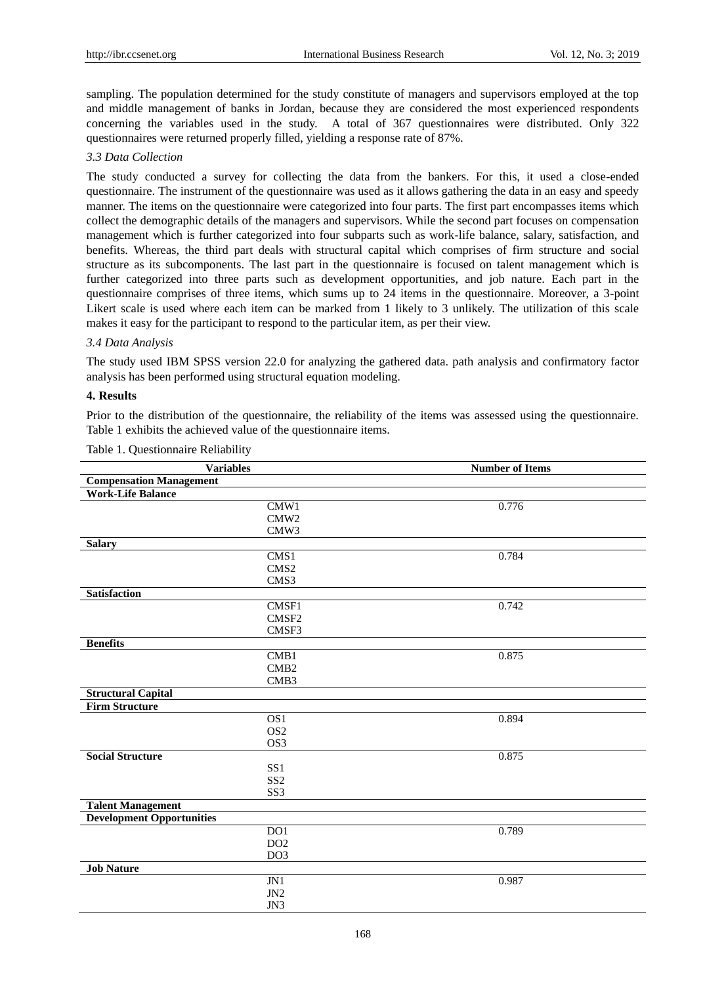sampling. The population determined for the study constitute of managers and supervisors employed at the top and middle management of banks in Jordan, because they are considered the most experienced respondents concerning the variables used in the study. A total of 367 questionnaires were distributed. Only 322 questionnaires were returned properly filled, yielding a response rate of 87%.

#### *3.3 Data Collection*

The study conducted a survey for collecting the data from the bankers. For this, it used a close-ended questionnaire. The instrument of the questionnaire was used as it allows gathering the data in an easy and speedy manner. The items on the questionnaire were categorized into four parts. The first part encompasses items which collect the demographic details of the managers and supervisors. While the second part focuses on compensation management which is further categorized into four subparts such as work-life balance, salary, satisfaction, and benefits. Whereas, the third part deals with structural capital which comprises of firm structure and social structure as its subcomponents. The last part in the questionnaire is focused on talent management which is further categorized into three parts such as development opportunities, and job nature. Each part in the questionnaire comprises of three items, which sums up to 24 items in the questionnaire. Moreover, a 3-point Likert scale is used where each item can be marked from 1 likely to 3 unlikely. The utilization of this scale makes it easy for the participant to respond to the particular item, as per their view.

#### *3.4 Data Analysis*

The study used IBM SPSS version 22.0 for analyzing the gathered data. path analysis and confirmatory factor analysis has been performed using structural equation modeling.

#### **4. Results**

Prior to the distribution of the questionnaire, the reliability of the items was assessed using the questionnaire. Table 1 exhibits the achieved value of the questionnaire items.

| <b>Variables</b>                 |                  | <b>Number of Items</b> |  |  |
|----------------------------------|------------------|------------------------|--|--|
| <b>Compensation Management</b>   |                  |                        |  |  |
| <b>Work-Life Balance</b>         |                  |                        |  |  |
|                                  | CMW1             | 0.776                  |  |  |
|                                  | CMW2             |                        |  |  |
|                                  | CMW3             |                        |  |  |
| <b>Salary</b>                    |                  |                        |  |  |
|                                  | CMS1             | 0.784                  |  |  |
|                                  | CMS <sub>2</sub> |                        |  |  |
|                                  | CMS3             |                        |  |  |
| <b>Satisfaction</b>              |                  |                        |  |  |
|                                  | CMSF1            | 0.742                  |  |  |
|                                  | CMSF2            |                        |  |  |
|                                  | CMSF3            |                        |  |  |
| <b>Benefits</b>                  |                  |                        |  |  |
|                                  | CMB1             | 0.875                  |  |  |
|                                  | CMB <sub>2</sub> |                        |  |  |
|                                  | CMB3             |                        |  |  |
| <b>Structural Capital</b>        |                  |                        |  |  |
| <b>Firm Structure</b>            |                  |                        |  |  |
|                                  | $\overline{OS1}$ | 0.894                  |  |  |
|                                  | OS <sub>2</sub>  |                        |  |  |
|                                  | OS3              |                        |  |  |
| <b>Social Structure</b>          |                  | 0.875                  |  |  |
|                                  | SS <sub>1</sub>  |                        |  |  |
|                                  | SS <sub>2</sub>  |                        |  |  |
|                                  | SS3              |                        |  |  |
| <b>Talent Management</b>         |                  |                        |  |  |
| <b>Development Opportunities</b> |                  |                        |  |  |
|                                  | $\overline{DO1}$ | 0.789                  |  |  |
|                                  | DO2              |                        |  |  |
|                                  | DO <sub>3</sub>  |                        |  |  |
| <b>Job Nature</b>                |                  |                        |  |  |
|                                  | J <sub>N1</sub>  | 0.987                  |  |  |
|                                  | JN2              |                        |  |  |
|                                  | JN3              |                        |  |  |

Table 1. Questionnaire Reliability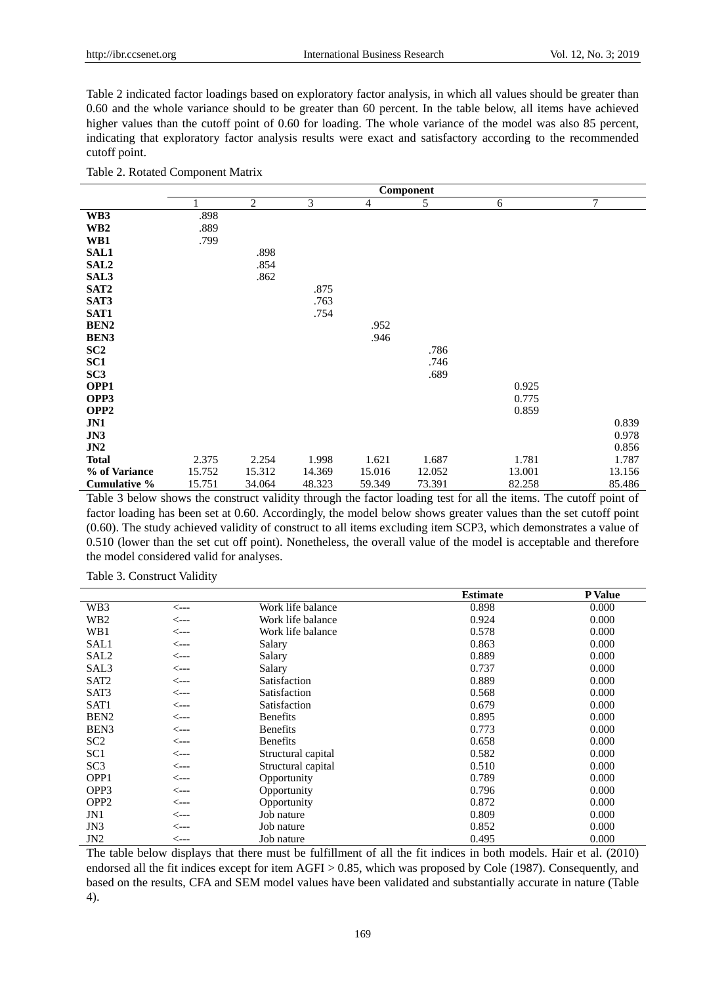Table 2 indicated factor loadings based on exploratory factor analysis, in which all values should be greater than 0.60 and the whole variance should to be greater than 60 percent. In the table below, all items have achieved higher values than the cutoff point of 0.60 for loading. The whole variance of the model was also 85 percent, indicating that exploratory factor analysis results were exact and satisfactory according to the recommended cutoff point.

| Table 2. Rotated Component Matrix |  |  |
|-----------------------------------|--|--|
|-----------------------------------|--|--|

|                  | Component |                |        |        |        |        |        |  |
|------------------|-----------|----------------|--------|--------|--------|--------|--------|--|
|                  |           | $\overline{2}$ | 3      | 4      | 5      | 6      | 7      |  |
| WB3              | .898      |                |        |        |        |        |        |  |
| WB <sub>2</sub>  | .889      |                |        |        |        |        |        |  |
| WB1              | .799      |                |        |        |        |        |        |  |
| <b>SAL1</b>      |           | .898           |        |        |        |        |        |  |
| SAL <sub>2</sub> |           | .854           |        |        |        |        |        |  |
| SAL3             |           | .862           |        |        |        |        |        |  |
| SAT <sub>2</sub> |           |                | .875   |        |        |        |        |  |
| SAT3             |           |                | .763   |        |        |        |        |  |
| SAT1             |           |                | .754   |        |        |        |        |  |
| BEN2             |           |                |        | .952   |        |        |        |  |
| <b>BEN3</b>      |           |                |        | .946   |        |        |        |  |
| SC2              |           |                |        |        | .786   |        |        |  |
| SC <sub>1</sub>  |           |                |        |        | .746   |        |        |  |
| SC <sub>3</sub>  |           |                |        |        | .689   |        |        |  |
| OPP1             |           |                |        |        |        | 0.925  |        |  |
| OPP3             |           |                |        |        |        | 0.775  |        |  |
| OPP <sub>2</sub> |           |                |        |        |        | 0.859  |        |  |
| JN1              |           |                |        |        |        |        | 0.839  |  |
| J <sub>N3</sub>  |           |                |        |        |        |        | 0.978  |  |
| JN2              |           |                |        |        |        |        | 0.856  |  |
| <b>Total</b>     | 2.375     | 2.254          | 1.998  | 1.621  | 1.687  | 1.781  | 1.787  |  |
| % of Variance    | 15.752    | 15.312         | 14.369 | 15.016 | 12.052 | 13.001 | 13.156 |  |
| Cumulative %     | 15.751    | 34.064         | 48.323 | 59.349 | 73.391 | 82.258 | 85.486 |  |

Table 3 below shows the construct validity through the factor loading test for all the items. The cutoff point of factor loading has been set at 0.60. Accordingly, the model below shows greater values than the set cutoff point (0.60). The study achieved validity of construct to all items excluding item SCP3, which demonstrates a value of 0.510 (lower than the set cut off point). Nonetheless, the overall value of the model is acceptable and therefore the model considered valid for analyses.

Table 3. Construct Validity

|                  |                  |                    | <b>Estimate</b> | P Value |
|------------------|------------------|--------------------|-----------------|---------|
| WB3              | $\leftarrow$ --- | Work life balance  | 0.898           | 0.000   |
| WB2              | <---             | Work life balance  | 0.924           | 0.000   |
| WB1              | <---             | Work life balance  | 0.578           | 0.000   |
| SAL1             | <---             | Salary             | 0.863           | 0.000   |
| SAL2             | <---             | Salary             | 0.889           | 0.000   |
| SAL3             | <---             | Salary             | 0.737           | 0.000   |
| SAT <sub>2</sub> | <---             | Satisfaction       | 0.889           | 0.000   |
| SAT3             | <---             | Satisfaction       | 0.568           | 0.000   |
| SAT1             | $\leftarrow$ --- | Satisfaction       | 0.679           | 0.000   |
| BEN <sub>2</sub> | <---             | <b>Benefits</b>    | 0.895           | 0.000   |
| BEN <sub>3</sub> | <---             | <b>Benefits</b>    | 0.773           | 0.000   |
| SC <sub>2</sub>  | <---             | <b>Benefits</b>    | 0.658           | 0.000   |
| SC <sub>1</sub>  | <---             | Structural capital | 0.582           | 0.000   |
| SC <sub>3</sub>  | <---             | Structural capital | 0.510           | 0.000   |
| OPP <sub>1</sub> | <---             | Opportunity        | 0.789           | 0.000   |
| OPP3             | <---             | Opportunity        | 0.796           | 0.000   |
| OPP <sub>2</sub> | <---             | Opportunity        | 0.872           | 0.000   |
| JN1              | <---             | Job nature         | 0.809           | 0.000   |
| JN3              | <---             | Job nature         | 0.852           | 0.000   |
| JN2              | <---             | Job nature         | 0.495           | 0.000   |

The table below displays that there must be fulfillment of all the fit indices in both models. Hair et al. (2010) endorsed all the fit indices except for item AGFI > 0.85, which was proposed by Cole (1987). Consequently, and based on the results, CFA and SEM model values have been validated and substantially accurate in nature (Table 4).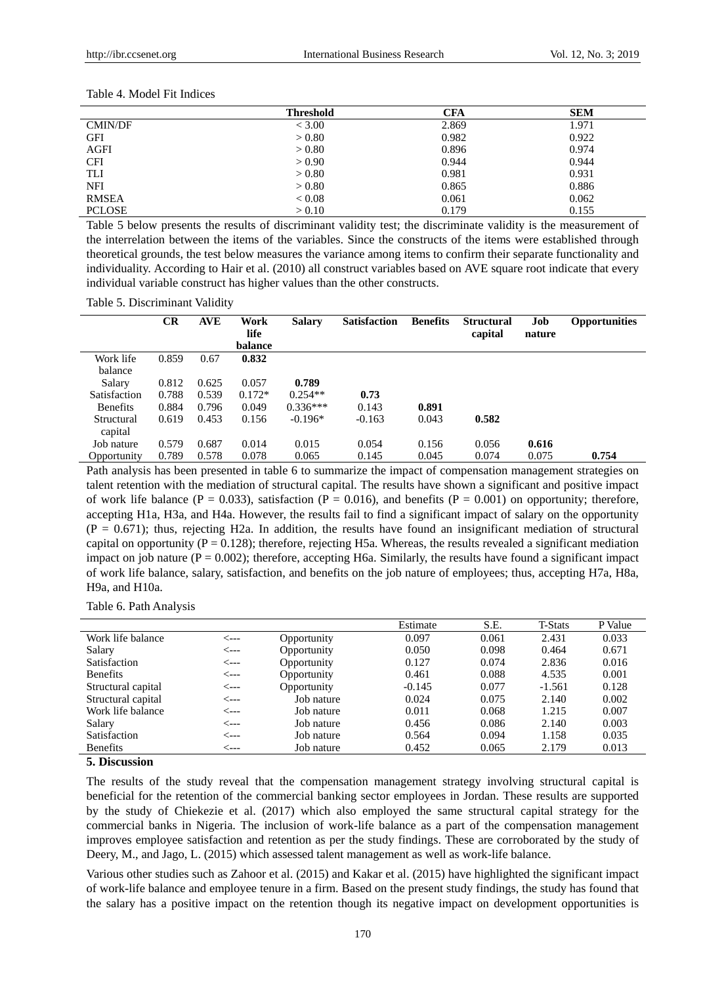|               | <b>Threshold</b> | <b>CFA</b> | <b>SEM</b> |
|---------------|------------------|------------|------------|
| CMIN/DF       | < 3.00           | 2.869      | 1.971      |
| <b>GFI</b>    | > 0.80           | 0.982      | 0.922      |
| <b>AGFI</b>   | > 0.80           | 0.896      | 0.974      |
| <b>CFI</b>    | > 0.90           | 0.944      | 0.944      |
| TLI           | > 0.80           | 0.981      | 0.931      |
| NFI           | > 0.80           | 0.865      | 0.886      |
| <b>RMSEA</b>  | < 0.08           | 0.061      | 0.062      |
| <b>PCLOSE</b> | > 0.10           | 0.179      | 0.155      |

Table 4. Model Fit Indices

Table 5 below presents the results of discriminant validity test; the discriminate validity is the measurement of the interrelation between the items of the variables. Since the constructs of the items were established through theoretical grounds, the test below measures the variance among items to confirm their separate functionality and individuality. According to Hair et al. (2010) all construct variables based on AVE square root indicate that every individual variable construct has higher values than the other constructs.

Table 5. Discriminant Validity

|                 | <b>CR</b> | <b>AVE</b> | Work<br>life<br>balance | <b>Salary</b> | <b>Satisfaction</b> | <b>Benefits</b> | <b>Structural</b><br>capital | Job<br>nature | <b>Opportunities</b> |
|-----------------|-----------|------------|-------------------------|---------------|---------------------|-----------------|------------------------------|---------------|----------------------|
| Work life       | 0.859     | 0.67       | 0.832                   |               |                     |                 |                              |               |                      |
| balance         |           |            |                         |               |                     |                 |                              |               |                      |
| Salary          | 0.812     | 0.625      | 0.057                   | 0.789         |                     |                 |                              |               |                      |
| Satisfaction    | 0.788     | 0.539      | $0.172*$                | $0.254**$     | 0.73                |                 |                              |               |                      |
| <b>Benefits</b> | 0.884     | 0.796      | 0.049                   | $0.336***$    | 0.143               | 0.891           |                              |               |                      |
| Structural      | 0.619     | 0.453      | 0.156                   | $-0.196*$     | $-0.163$            | 0.043           | 0.582                        |               |                      |
| capital         |           |            |                         |               |                     |                 |                              |               |                      |
| Job nature      | 0.579     | 0.687      | 0.014                   | 0.015         | 0.054               | 0.156           | 0.056                        | 0.616         |                      |
| Opportunity     | 0.789     | 0.578      | 0.078                   | 0.065         | 0.145               | 0.045           | 0.074                        | 0.075         | 0.754                |

Path analysis has been presented in table 6 to summarize the impact of compensation management strategies on talent retention with the mediation of structural capital. The results have shown a significant and positive impact of work life balance ( $P = 0.033$ ), satisfaction ( $P = 0.016$ ), and benefits ( $P = 0.001$ ) on opportunity; therefore, accepting H1a, H3a, and H4a. However, the results fail to find a significant impact of salary on the opportunity  $(P = 0.671)$ ; thus, rejecting H2a. In addition, the results have found an insignificant mediation of structural capital on opportunity ( $P = 0.128$ ); therefore, rejecting H5a. Whereas, the results revealed a significant mediation impact on job nature  $(P = 0.002)$ ; therefore, accepting H6a. Similarly, the results have found a significant impact of work life balance, salary, satisfaction, and benefits on the job nature of employees; thus, accepting H7a, H8a, H9a, and H10a.

Table 6. Path Analysis

|                     |      |             | Estimate | S.E.  | <b>T-Stats</b> | P Value |
|---------------------|------|-------------|----------|-------|----------------|---------|
| Work life balance   | <--- | Opportunity | 0.097    | 0.061 | 2.431          | 0.033   |
| Salary              | <--- | Opportunity | 0.050    | 0.098 | 0.464          | 0.671   |
| <b>Satisfaction</b> | <--- | Opportunity | 0.127    | 0.074 | 2.836          | 0.016   |
| <b>Benefits</b>     | <--- | Opportunity | 0.461    | 0.088 | 4.535          | 0.001   |
| Structural capital  | <--- | Opportunity | $-0.145$ | 0.077 | $-1.561$       | 0.128   |
| Structural capital  | <--- | Job nature  | 0.024    | 0.075 | 2.140          | 0.002   |
| Work life balance   | <--- | Job nature  | 0.011    | 0.068 | 1.215          | 0.007   |
| Salary              | <--- | Job nature  | 0.456    | 0.086 | 2.140          | 0.003   |
| Satisfaction        | <--- | Job nature  | 0.564    | 0.094 | 1.158          | 0.035   |
| <b>Benefits</b>     | ⊂--- | Job nature  | 0.452    | 0.065 | 2.179          | 0.013   |

# **5. Discussion**

The results of the study reveal that the compensation management strategy involving structural capital is beneficial for the retention of the commercial banking sector employees in Jordan. These results are supported by the study of Chiekezie et al. (2017) which also employed the same structural capital strategy for the commercial banks in Nigeria. The inclusion of work-life balance as a part of the compensation management improves employee satisfaction and retention as per the study findings. These are corroborated by the study of Deery, M., and Jago, L. (2015) which assessed talent management as well as work-life balance.

Various other studies such as Zahoor et al. (2015) and Kakar et al. (2015) have highlighted the significant impact of work-life balance and employee tenure in a firm. Based on the present study findings, the study has found that the salary has a positive impact on the retention though its negative impact on development opportunities is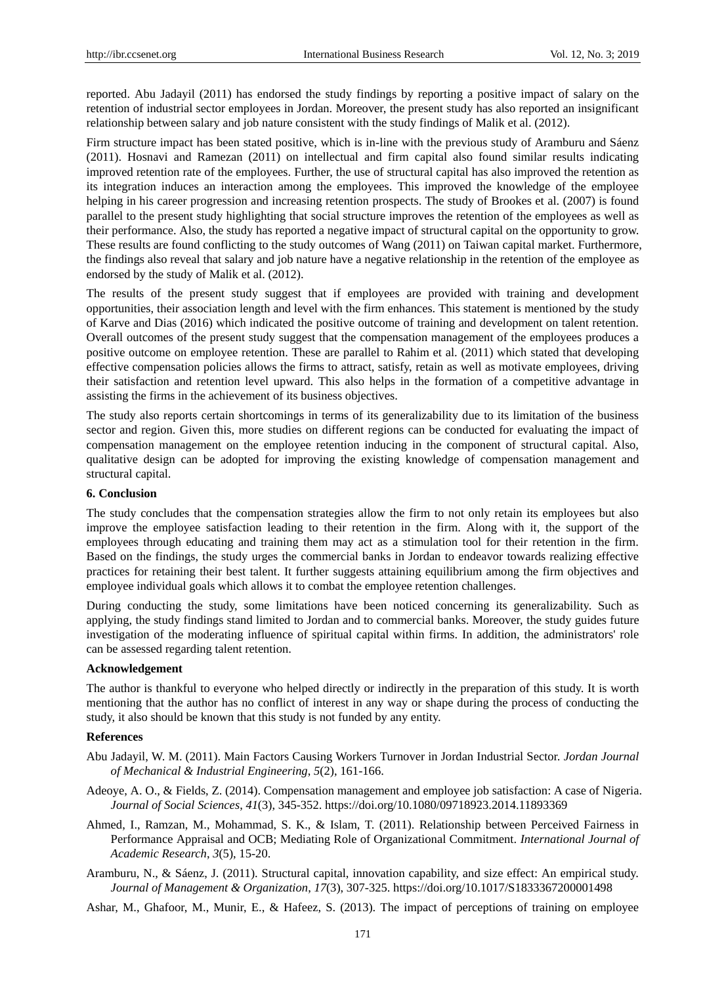reported. Abu Jadayil (2011) has endorsed the study findings by reporting a positive impact of salary on the retention of industrial sector employees in Jordan. Moreover, the present study has also reported an insignificant relationship between salary and job nature consistent with the study findings of Malik et al. (2012).

Firm structure impact has been stated positive, which is in-line with the previous study of Aramburu and S áenz (2011). Hosnavi and Ramezan (2011) on intellectual and firm capital also found similar results indicating improved retention rate of the employees. Further, the use of structural capital has also improved the retention as its integration induces an interaction among the employees. This improved the knowledge of the employee helping in his career progression and increasing retention prospects. The study of Brookes et al. (2007) is found parallel to the present study highlighting that social structure improves the retention of the employees as well as their performance. Also, the study has reported a negative impact of structural capital on the opportunity to grow. These results are found conflicting to the study outcomes of Wang (2011) on Taiwan capital market. Furthermore, the findings also reveal that salary and job nature have a negative relationship in the retention of the employee as endorsed by the study of Malik et al. (2012).

The results of the present study suggest that if employees are provided with training and development opportunities, their association length and level with the firm enhances. This statement is mentioned by the study of Karve and Dias (2016) which indicated the positive outcome of training and development on talent retention. Overall outcomes of the present study suggest that the compensation management of the employees produces a positive outcome on employee retention. These are parallel to Rahim et al. (2011) which stated that developing effective compensation policies allows the firms to attract, satisfy, retain as well as motivate employees, driving their satisfaction and retention level upward. This also helps in the formation of a competitive advantage in assisting the firms in the achievement of its business objectives.

The study also reports certain shortcomings in terms of its generalizability due to its limitation of the business sector and region. Given this, more studies on different regions can be conducted for evaluating the impact of compensation management on the employee retention inducing in the component of structural capital. Also, qualitative design can be adopted for improving the existing knowledge of compensation management and structural capital.

## **6. Conclusion**

The study concludes that the compensation strategies allow the firm to not only retain its employees but also improve the employee satisfaction leading to their retention in the firm. Along with it, the support of the employees through educating and training them may act as a stimulation tool for their retention in the firm. Based on the findings, the study urges the commercial banks in Jordan to endeavor towards realizing effective practices for retaining their best talent. It further suggests attaining equilibrium among the firm objectives and employee individual goals which allows it to combat the employee retention challenges.

During conducting the study, some limitations have been noticed concerning its generalizability. Such as applying, the study findings stand limited to Jordan and to commercial banks. Moreover, the study guides future investigation of the moderating influence of spiritual capital within firms. In addition, the administrators' role can be assessed regarding talent retention.

#### **Acknowledgement**

The author is thankful to everyone who helped directly or indirectly in the preparation of this study. It is worth mentioning that the author has no conflict of interest in any way or shape during the process of conducting the study, it also should be known that this study is not funded by any entity.

#### **References**

- Abu Jadayil, W. M. (2011). Main Factors Causing Workers Turnover in Jordan Industrial Sector. *Jordan Journal of Mechanical & Industrial Engineering*, *5*(2), 161-166.
- Adeoye, A. O., & Fields, Z. (2014). Compensation management and employee job satisfaction: A case of Nigeria. *Journal of Social Sciences*, *41*(3), 345-352. https://doi.org/10.1080/09718923.2014.11893369
- Ahmed, I., Ramzan, M., Mohammad, S. K., & Islam, T. (2011). Relationship between Perceived Fairness in Performance Appraisal and OCB; Mediating Role of Organizational Commitment. *International Journal of Academic Research*, *3*(5), 15-20.
- Aramburu, N., & Sáenz, J. (2011). Structural capital, innovation capability, and size effect: An empirical study. *Journal of Management & Organization*, *17*(3), 307-325. https://doi.org/10.1017/S1833367200001498

Ashar, M., Ghafoor, M., Munir, E., & Hafeez, S. (2013). The impact of perceptions of training on employee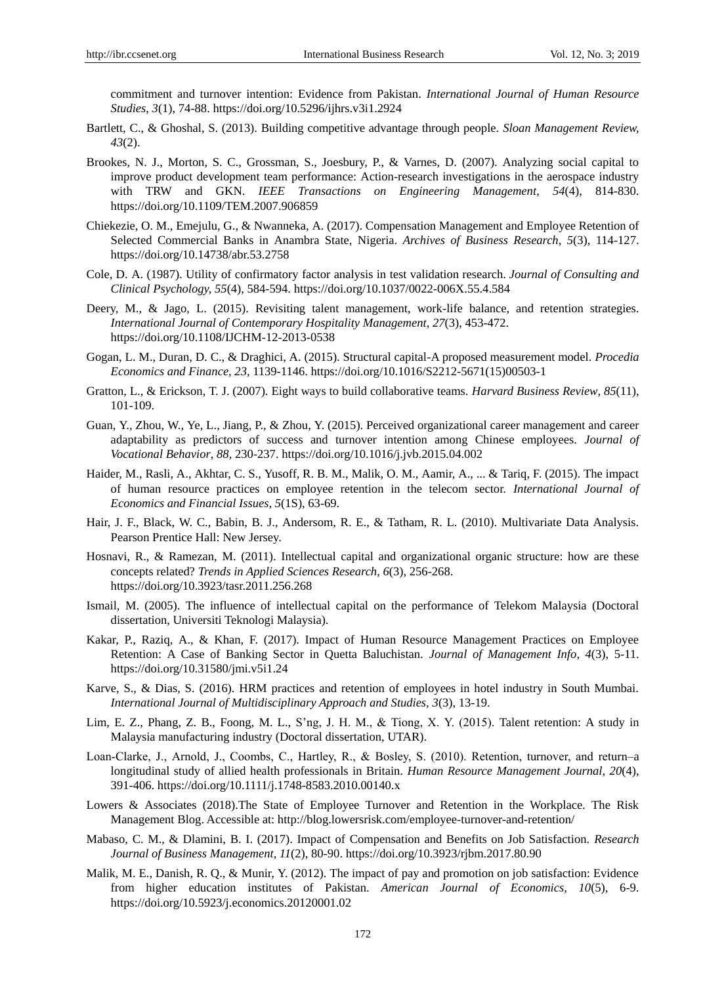commitment and turnover intention: Evidence from Pakistan. *International Journal of Human Resource Studies*, *3*(1), 74-88. https://doi.org/10.5296/ijhrs.v3i1.2924

- Bartlett, C., & Ghoshal, S. (2013). Building competitive advantage through people. *Sloan Management Review, 43*(2).
- Brookes, N. J., Morton, S. C., Grossman, S., Joesbury, P., & Varnes, D. (2007). Analyzing social capital to improve product development team performance: Action-research investigations in the aerospace industry with TRW and GKN. *IEEE Transactions on Engineering Management*, *54*(4), 814-830. <https://doi.org/10.1109/TEM.2007.906859>
- Chiekezie, O. M., Emejulu, G., & Nwanneka, A. (2017). Compensation Management and Employee Retention of Selected Commercial Banks in Anambra State, Nigeria. *Archives of Business Research*, *5*(3), 114-127. https://doi.org/10.14738/abr.53.2758
- Cole, D. A. (1987). Utility of confirmatory factor analysis in test validation research. *Journal of Consulting and Clinical Psychology, 55*(4), 584-594. https://doi.org/10.1037/0022-006X.55.4.584
- Deery, M., & Jago, L. (2015). Revisiting talent management, work-life balance, and retention strategies. *International Journal of Contemporary Hospitality Management*, *27*(3), 453-472. https://doi.org/10.1108/IJCHM-12-2013-0538
- Gogan, L. M., Duran, D. C., & Draghici, A. (2015). Structural capital-A proposed measurement model. *Procedia Economics and Finance*, *23,* 1139-1146. https://doi.org/10.1016/S2212-5671(15)00503-1
- Gratton, L., & Erickson, T. J. (2007). Eight ways to build collaborative teams. *Harvard Business Review*, *85*(11), 101-109.
- Guan, Y., Zhou, W., Ye, L., Jiang, P., & Zhou, Y. (2015). Perceived organizational career management and career adaptability as predictors of success and turnover intention among Chinese employees. *Journal of Vocational Behavior*, *88,* 230-237. https://doi.org/10.1016/j.jvb.2015.04.002
- Haider, M., Rasli, A., Akhtar, C. S., Yusoff, R. B. M., Malik, O. M., Aamir, A., ... & Tariq, F. (2015). The impact of human resource practices on employee retention in the telecom sector. *International Journal of Economics and Financial Issues, 5*(1S), 63-69.
- Hair, J. F., Black, W. C., Babin, B. J., Andersom, R. E., & Tatham, R. L. (2010). Multivariate Data Analysis. Pearson Prentice Hall: New Jersey.
- Hosnavi, R., & Ramezan, M. (2011). Intellectual capital and organizational organic structure: how are these concepts related? *Trends in Applied Sciences Research*, *6*(3), 256-268. https://doi.org/10.3923/tasr.2011.256.268
- Ismail, M. (2005). The influence of intellectual capital on the performance of Telekom Malaysia (Doctoral dissertation, Universiti Teknologi Malaysia).
- Kakar, P., Raziq, A., & Khan, F. (2017). Impact of Human Resource Management Practices on Employee Retention: A Case of Banking Sector in Quetta Baluchistan. *Journal of Management Info*, *4*(3), 5-11. <https://doi.org/10.31580/jmi.v5i1.24>
- Karve, S., & Dias, S. (2016). HRM practices and retention of employees in hotel industry in South Mumbai. *International Journal of Multidisciplinary Approach and Studies, 3*(3), 13-19.
- Lim, E. Z., Phang, Z. B., Foong, M. L., S'ng, J. H. M., & Tiong, X. Y. (2015). Talent retention: A study in Malaysia manufacturing industry (Doctoral dissertation, UTAR).
- Loan‐Clarke, J., Arnold, J., Coombs, C., Hartley, R., & Bosley, S. (2010). Retention, turnover, and return–a longitudinal study of allied health professionals in Britain. *Human Resource Management Journal*, *20*(4), 391-406. https://doi.org/10.1111/j.1748-8583.2010.00140.x
- Lowers & Associates (2018).The State of Employee Turnover and Retention in the Workplace. The Risk Management Blog. Accessible at: http://blog.lowersrisk.com/employee-turnover-and-retention/
- Mabaso, C. M., & Dlamini, B. I. (2017). Impact of Compensation and Benefits on Job Satisfaction. *Research Journal of Business Management, 11*(2), 80-90. https://doi.org/10.3923/rjbm.2017.80.90
- Malik, M. E., Danish, R. Q., & Munir, Y. (2012). The impact of pay and promotion on job satisfaction: Evidence from higher education institutes of Pakistan. *American Journal of Economics*, *10*(5), 6-9. https://doi.org/10.5923/j.economics.20120001.02